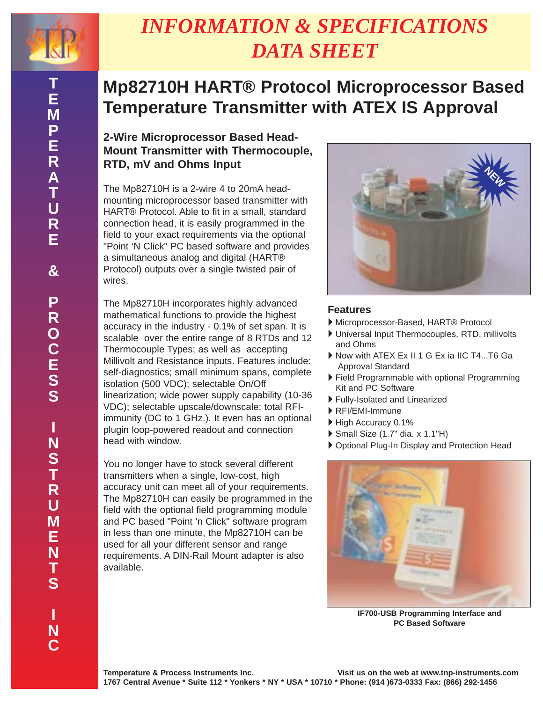

# *INFORMATION & SPECIFICATIONS DATA SHEET*

### **E M P E R A T U R E & P R O C E S S I N S T R U M E N T S I N**

## **Mp82710H HART® Protocol Microprocessor Based Temperature Transmitter with ATEX IS Approval**

#### **2-Wire Microprocessor Based Head-Mount Transmitter with Thermocouple, RTD, mV and Ohms Input**

The Mp82710H is a 2-wire 4 to 20mA headmounting microprocessor based transmitter with HART® Protocol. Able to fit in a small, standard connection head, it is easily programmed in the field to your exact requirements via the optional "Point 'N Click" PC based software and provides a simultaneous analog and digital (HART® Protocol) outputs over a single twisted pair of wires.

The Mp82710H incorporates highly advanced mathematical functions to provide the highest accuracy in the industry - 0.1% of set span. It is scalable over the entire range of 8 RTDs and 12 Thermocouple Types; as well as accepting Millivolt and Resistance inputs. Features include: self-diagnostics; small minimum spans, complete isolation (500 VDC); selectable On/Off linearization; wide power supply capability (10-36 VDC); selectable upscale/downscale; total RFIimmunity (DC to 1 GHz.). It even has an optional plugin loop-powered readout and connection head with window.

You no longer have to stock several different transmitters when a single, low-cost, high accuracy unit can meet all of your requirements. The Mp82710H can easily be programmed in the field with the optional field programming module and PC based "Point 'n Click" software program in less than one minute, the Mp82710H can be used for all your different sensor and range requirements. A DIN-Rail Mount adapter is also available.



#### **Features**

▶ Microprocessor-Based, HART® Protocol

- ` Universal Input Thermocouples, RTD, millivolts and Ohms
- ` Now with ATEX Ex II 1 G Ex ia IIC T4...T6 Ga Approval Standard
- ` Field Programmable with optional Programming Kit and PC Software
- ` Fully-Isolated and Linearized
- **REI/EMI-Immune**
- High Accuracy 0.1%
- $\triangleright$  Small Size (1.7" dia. x 1.1"H)
- ` Optional Plug-In Display and Protection Head



**IF700-USB Programming Interface and PC Based Software**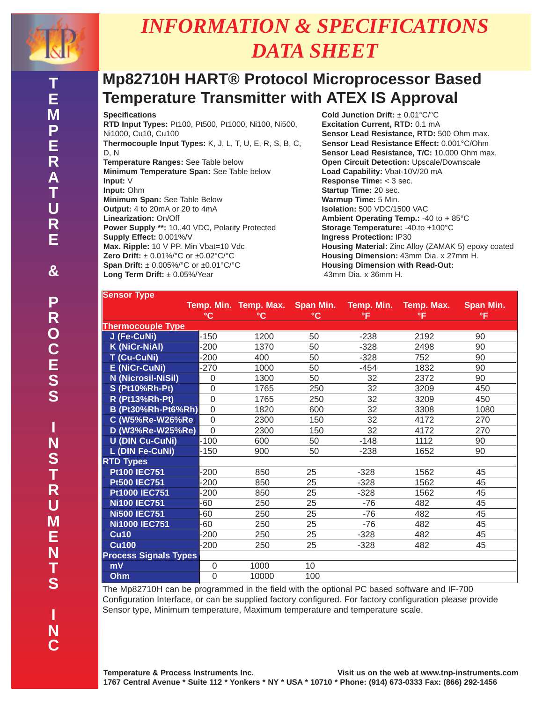

# *INFORMATION & SPECIFICATIONS DATA SHEET*

### **Mp82710H HART® Protocol Microprocessor Based Temperature Transmitter with ATEX IS Approval**

**Specifications**

**RTD Input Types:** Pt100, Pt500, Pt1000, Ni100, Ni500, Ni1000, Cu10, Cu100 **Thermocouple Input Types:** K, J, L, T, U, E, R, S, B, C, D, N **Temperature Ranges:** See Table below **Minimum Temperature Span:** See Table below **Input:** V **Input:** Ohm **Minimum Span:** See Table Below **Output:** 4 to 20mA or 20 to 4mA **Linearization:** On/Off **Power Supply \*\*:** 10..40 VDC, Polarity Protected **Supply Effect:** 0.001%/V **Max. Ripple:** 10 V PP. Min Vbat=10 Vdc **Zero Drift:** ± 0.01%/°C or ±0.02°C/°C **Span Drift:** ± 0.005%/°C or ±0.01°C/°C **Long Term Drift:** ± 0.05%/Year

**Cold Junction Drift:** ± 0.01°C/°C **Excitation Current, RTD:** 0.1 mA **Sensor Lead Resistance, RTD:** 500 Ohm max. **Sensor Lead Resistance Effect:** 0.001°C/Ohm **Sensor Lead Resistance, T/C:** 10,000 Ohm max. **Open Circuit Detection: Upscale/Downscale Load Capability:** Vbat-10V/20 mA **Response Time:** < 3 sec. **Startup Time:** 20 sec. **Warmup Time:** 5 Min. **Isolation:** 500 VDC/1500 VAC **Ambient Operating Temp.:** -40 to + 85°C **Storage Temperature:** -40.to +100°C **Ingress Protection:** IP30 **Housing Material:** Zinc Alloy (ZAMAK 5) epoxy coated **Housing Dimension:** 43mm Dia. x 27mm H. **Housing Dimension with Read-Out:** 43mm Dia. x 36mm H.

| <b>Sensor Type</b>           |                 |                             |                 |                  |                  |                 |  |
|------------------------------|-----------------|-----------------------------|-----------------|------------------|------------------|-----------------|--|
|                              | $\rm ^{\circ}C$ | Temp. Min. Temp. Max.<br>°C | Span Min.<br>°C | Temp. Min.<br>°F | Temp. Max.<br>°F | Span Min.<br>°F |  |
| <b>Thermocouple Type</b>     |                 |                             |                 |                  |                  |                 |  |
| J (Fe-CuNi)                  | $-150$          | 1200                        | 50              | $-238$           | 2192             | 90              |  |
| K (NiCr-NiAl)                | $-200$          | 1370                        | 50              | $-328$           | 2498             | 90              |  |
| <b>T (Cu-CuNi)</b>           | -200            | 400                         | 50              | $-328$           | 752              | 90              |  |
| <b>E</b> (NiCr-CuNi)         | -270            | 1000                        | 50              | -454             | 1832             | 90              |  |
| <b>N</b> (Nicrosil-NiSil)    | $\mathbf 0$     | 1300                        | 50              | 32               | 2372             | 90              |  |
| <b>S (Pt10%Rh-Pt)</b>        | $\Omega$        | 1765                        | 250             | 32               | 3209             | 450             |  |
| <b>R</b> (Pt13%Rh-Pt)        | $\mathbf 0$     | 1765                        | 250             | 32               | 3209             | 450             |  |
| <b>B (Pt30%Rh-Pt6%Rh)</b>    | $\mathbf 0$     | 1820                        | 600             | 32               | 3308             | 1080            |  |
| C (W5%Re-W26%Re)             | $\mathbf 0$     | 2300                        | 150             | 32               | 4172             | 270             |  |
| D (W3%Re-W25%Re)             | $\mathbf 0$     | 2300                        | 150             | 32               | 4172             | 270             |  |
| <b>U (DIN Cu-CuNi)</b>       | $-100$          | 600                         | 50              | $-148$           | 1112             | 90              |  |
| L (DIN Fe-CuNi)              | -150            | 900                         | 50              | $-238$           | 1652             | 90              |  |
| <b>RTD Types</b>             |                 |                             |                 |                  |                  |                 |  |
| <b>Pt100 IEC751</b>          | $-200$          | 850                         | 25              | $-328$           | 1562             | 45              |  |
| <b>Pt500 IEC751</b>          | $-200$          | 850                         | 25              | $-328$           | 1562             | 45              |  |
| <b>Pt1000 IEC751</b>         | $-200$          | 850                         | 25              | $-328$           | 1562             | 45              |  |
| <b>Ni100 IEC751</b>          | -60             | 250                         | 25              | $-76$            | 482              | 45              |  |
| <b>Ni500 IEC751</b>          | $-60$           | 250                         | 25              | $-76$            | 482              | 45              |  |
| <b>Ni1000 IEC751</b>         | $-60$           | 250                         | 25              | $-76$            | 482              | 45              |  |
| <b>Cu10</b>                  | $-200$          | 250                         | 25              | $-328$           | 482              | 45              |  |
| <b>Cu100</b>                 | $-200$          | 250                         | 25              | $-328$           | 482              | 45              |  |
| <b>Process Signals Types</b> |                 |                             |                 |                  |                  |                 |  |
| $\overline{mV}$              | $\Omega$        | 1000                        | 10              |                  |                  |                 |  |
| Ohm                          | $\mathbf 0$     | 10000                       | 100             |                  |                  |                 |  |

The Mp82710H can be programmed in the field with the optional PC based software and IF-700 Configuration Interface, or can be supplied factory configured. For factory configuration please provide Sensor type, Minimum temperature, Maximum temperature and temperature scale.